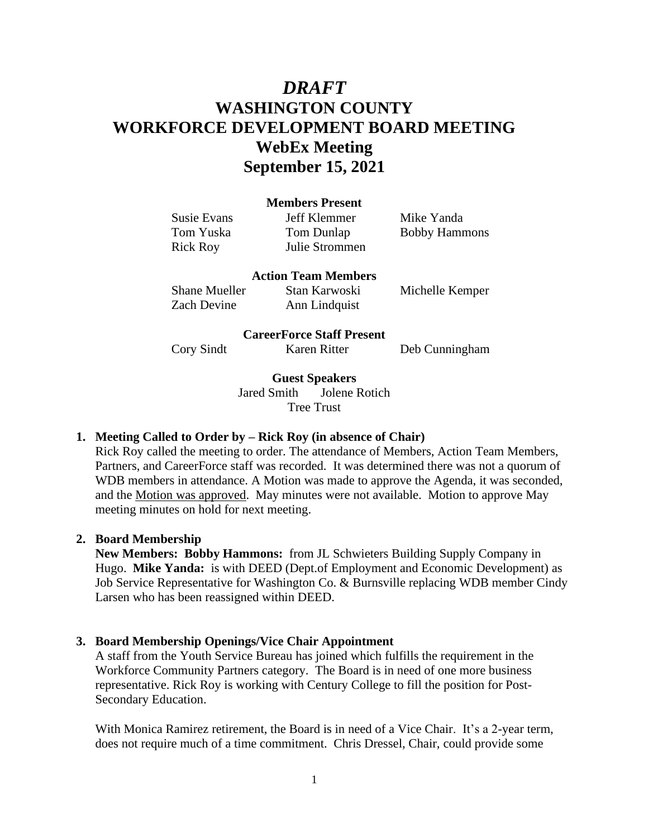# *DRAFT* **WASHINGTON COUNTY WORKFORCE DEVELOPMENT BOARD MEETING WebEx Meeting September 15, 2021**

#### **Members Present**

Susie Evans Jeff Klemmer Mike Yanda Rick Roy Julie Strommen

Tom Yuska Tom Dunlap Bobby Hammons

## **Action Team Members**

Shane Mueller Stan Karwoski Michelle Kemper Zach Devine Ann Lindquist

## **CareerForce Staff Present**

Cory Sindt Karen Ritter Deb Cunningham

**Guest Speakers**

Jared Smith Jolene Rotich Tree Trust

## **1. Meeting Called to Order by – Rick Roy (in absence of Chair)**

Rick Roy called the meeting to order. The attendance of Members, Action Team Members, Partners, and CareerForce staff was recorded. It was determined there was not a quorum of WDB members in attendance. A Motion was made to approve the Agenda, it was seconded, and the Motion was approved. May minutes were not available. Motion to approve May meeting minutes on hold for next meeting.

## **2. Board Membership**

**New Members: Bobby Hammons:** from JL Schwieters Building Supply Company in Hugo. **Mike Yanda:** is with DEED (Dept.of Employment and Economic Development) as Job Service Representative for Washington Co. & Burnsville replacing WDB member Cindy Larsen who has been reassigned within DEED.

## **3. Board Membership Openings/Vice Chair Appointment**

A staff from the Youth Service Bureau has joined which fulfills the requirement in the Workforce Community Partners category. The Board is in need of one more business representative. Rick Roy is working with Century College to fill the position for Post-Secondary Education.

With Monica Ramirez retirement, the Board is in need of a Vice Chair. It's a 2-year term, does not require much of a time commitment. Chris Dressel, Chair, could provide some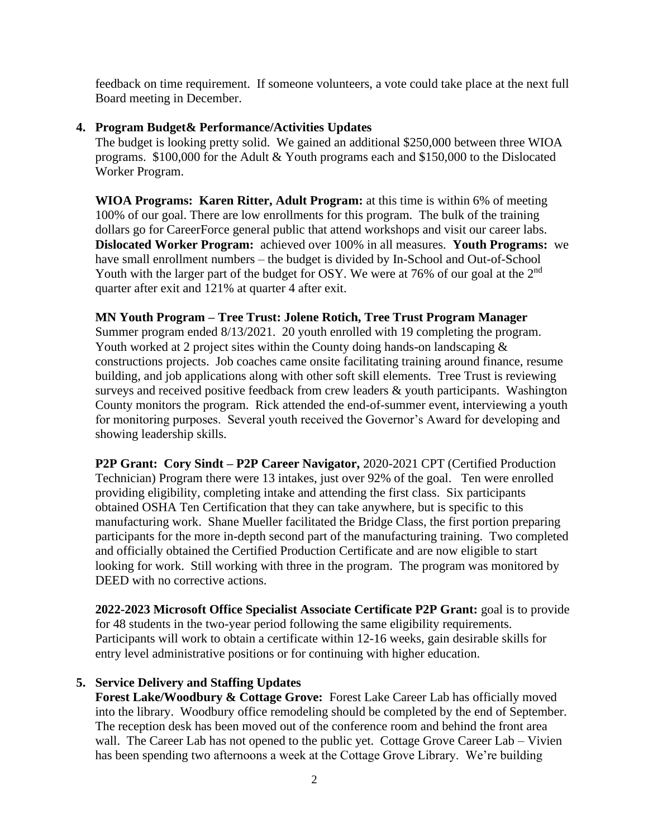feedback on time requirement. If someone volunteers, a vote could take place at the next full Board meeting in December.

## **4. Program Budget& Performance/Activities Updates**

The budget is looking pretty solid. We gained an additional \$250,000 between three WIOA programs. \$100,000 for the Adult & Youth programs each and \$150,000 to the Dislocated Worker Program.

**WIOA Programs: Karen Ritter, Adult Program:** at this time is within 6% of meeting 100% of our goal. There are low enrollments for this program. The bulk of the training dollars go for CareerForce general public that attend workshops and visit our career labs. **Dislocated Worker Program:** achieved over 100% in all measures. **Youth Programs:** we have small enrollment numbers – the budget is divided by In-School and Out-of-School Youth with the larger part of the budget for OSY. We were at 76% of our goal at the 2<sup>nd</sup> quarter after exit and 121% at quarter 4 after exit.

## **MN Youth Program – Tree Trust: Jolene Rotich, Tree Trust Program Manager**

Summer program ended 8/13/2021. 20 youth enrolled with 19 completing the program. Youth worked at 2 project sites within the County doing hands-on landscaping  $\&$ constructions projects. Job coaches came onsite facilitating training around finance, resume building, and job applications along with other soft skill elements. Tree Trust is reviewing surveys and received positive feedback from crew leaders & youth participants. Washington County monitors the program. Rick attended the end-of-summer event, interviewing a youth for monitoring purposes. Several youth received the Governor's Award for developing and showing leadership skills.

**P2P Grant: Cory Sindt – P2P Career Navigator,** 2020-2021 CPT (Certified Production Technician) Program there were 13 intakes, just over 92% of the goal. Ten were enrolled providing eligibility, completing intake and attending the first class. Six participants obtained OSHA Ten Certification that they can take anywhere, but is specific to this manufacturing work. Shane Mueller facilitated the Bridge Class, the first portion preparing participants for the more in-depth second part of the manufacturing training. Two completed and officially obtained the Certified Production Certificate and are now eligible to start looking for work. Still working with three in the program. The program was monitored by DEED with no corrective actions.

**2022-2023 Microsoft Office Specialist Associate Certificate P2P Grant:** goal is to provide for 48 students in the two-year period following the same eligibility requirements. Participants will work to obtain a certificate within 12-16 weeks, gain desirable skills for entry level administrative positions or for continuing with higher education.

# **5. Service Delivery and Staffing Updates**

**Forest Lake/Woodbury & Cottage Grove:** Forest Lake Career Lab has officially moved into the library. Woodbury office remodeling should be completed by the end of September. The reception desk has been moved out of the conference room and behind the front area wall. The Career Lab has not opened to the public yet. Cottage Grove Career Lab – Vivien has been spending two afternoons a week at the Cottage Grove Library. We're building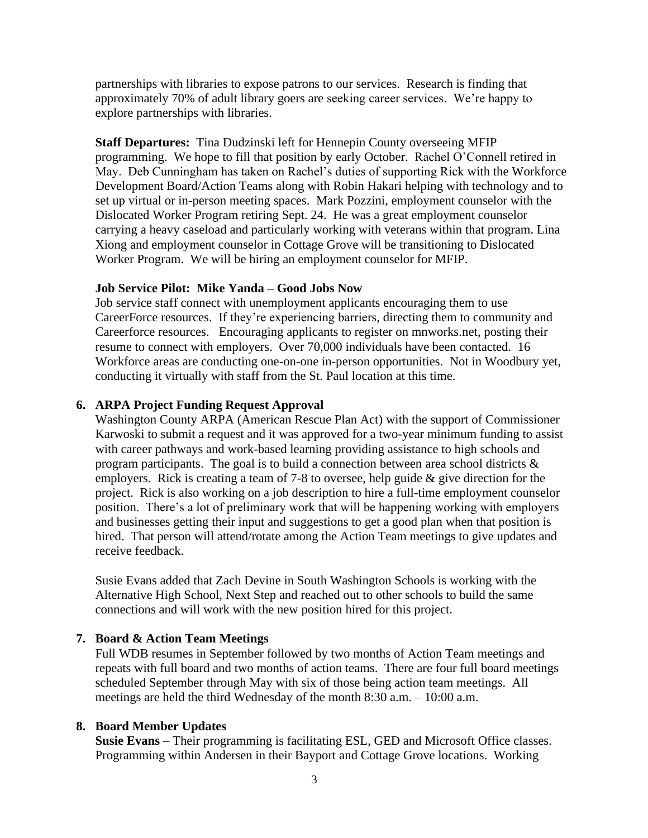partnerships with libraries to expose patrons to our services. Research is finding that approximately 70% of adult library goers are seeking career services. We're happy to explore partnerships with libraries.

**Staff Departures:** Tina Dudzinski left for Hennepin County overseeing MFIP programming. We hope to fill that position by early October. Rachel O'Connell retired in May. Deb Cunningham has taken on Rachel's duties of supporting Rick with the Workforce Development Board/Action Teams along with Robin Hakari helping with technology and to set up virtual or in-person meeting spaces. Mark Pozzini, employment counselor with the Dislocated Worker Program retiring Sept. 24. He was a great employment counselor carrying a heavy caseload and particularly working with veterans within that program. Lina Xiong and employment counselor in Cottage Grove will be transitioning to Dislocated Worker Program. We will be hiring an employment counselor for MFIP.

#### **Job Service Pilot: Mike Yanda – Good Jobs Now**

Job service staff connect with unemployment applicants encouraging them to use CareerForce resources. If they're experiencing barriers, directing them to community and Careerforce resources. Encouraging applicants to register on mnworks.net, posting their resume to connect with employers. Over 70,000 individuals have been contacted. 16 Workforce areas are conducting one-on-one in-person opportunities. Not in Woodbury yet, conducting it virtually with staff from the St. Paul location at this time.

#### **6. ARPA Project Funding Request Approval**

Washington County ARPA (American Rescue Plan Act) with the support of Commissioner Karwoski to submit a request and it was approved for a two-year minimum funding to assist with career pathways and work-based learning providing assistance to high schools and program participants. The goal is to build a connection between area school districts  $\&$ employers. Rick is creating a team of 7-8 to oversee, help guide & give direction for the project. Rick is also working on a job description to hire a full-time employment counselor position. There's a lot of preliminary work that will be happening working with employers and businesses getting their input and suggestions to get a good plan when that position is hired. That person will attend/rotate among the Action Team meetings to give updates and receive feedback.

Susie Evans added that Zach Devine in South Washington Schools is working with the Alternative High School, Next Step and reached out to other schools to build the same connections and will work with the new position hired for this project.

#### **7. Board & Action Team Meetings**

Full WDB resumes in September followed by two months of Action Team meetings and repeats with full board and two months of action teams. There are four full board meetings scheduled September through May with six of those being action team meetings. All meetings are held the third Wednesday of the month 8:30 a.m. – 10:00 a.m.

#### **8. Board Member Updates**

**Susie Evans** – Their programming is facilitating ESL, GED and Microsoft Office classes. Programming within Andersen in their Bayport and Cottage Grove locations. Working